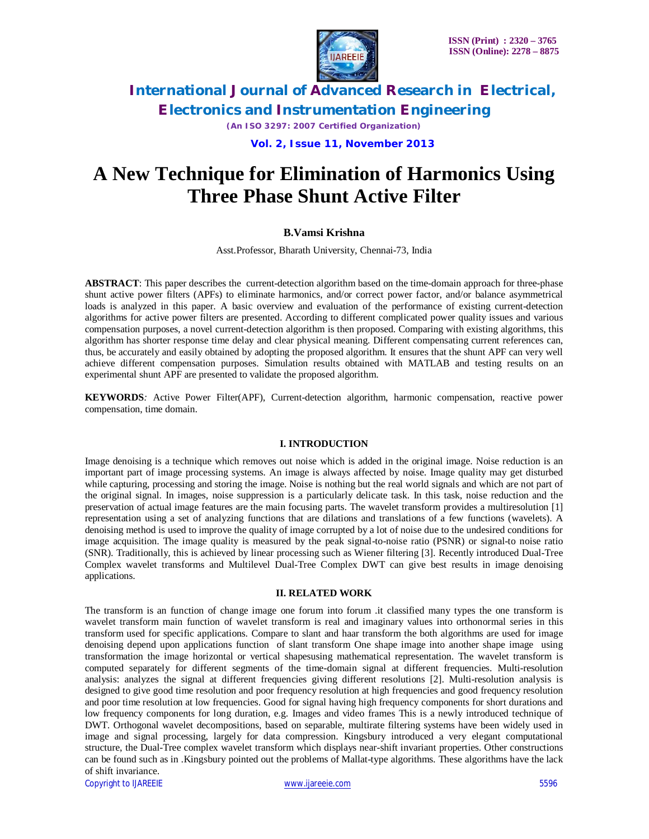

*(An ISO 3297: 2007 Certified Organization)*

 **Vol. 2, Issue 11, November 2013**

# **A New Technique for Elimination of Harmonics Using Three Phase Shunt Active Filter**

### **B.Vamsi Krishna**

Asst.Professor, Bharath University, Chennai-73, India

**ABSTRACT**: This paper describes the current-detection algorithm based on the time-domain approach for three-phase shunt active power filters (APFs) to eliminate harmonics, and/or correct power factor, and/or balance asymmetrical loads is analyzed in this paper. A basic overview and evaluation of the performance of existing current-detection algorithms for active power filters are presented. According to different complicated power quality issues and various compensation purposes, a novel current-detection algorithm is then proposed. Comparing with existing algorithms, this algorithm has shorter response time delay and clear physical meaning. Different compensating current references can, thus, be accurately and easily obtained by adopting the proposed algorithm. It ensures that the shunt APF can very well achieve different compensation purposes. Simulation results obtained with MATLAB and testing results on an experimental shunt APF are presented to validate the proposed algorithm.

**KEYWORDS***:* Active Power Filter(APF), Current-detection algorithm, harmonic compensation, reactive power compensation, time domain.

### **I. INTRODUCTION**

Image denoising is a technique which removes out noise which is added in the original image. Noise reduction is an important part of image processing systems. An image is always affected by noise. Image quality may get disturbed while capturing, processing and storing the image. Noise is nothing but the real world signals and which are not part of the original signal. In images, noise suppression is a particularly delicate task. In this task, noise reduction and the preservation of actual image features are the main focusing parts. The wavelet transform provides a multiresolution [1] representation using a set of analyzing functions that are dilations and translations of a few functions (wavelets). A denoising method is used to improve the quality of image corrupted by a lot of noise due to the undesired conditions for image acquisition. The image quality is measured by the peak signal-to-noise ratio (PSNR) or signal-to noise ratio (SNR). Traditionally, this is achieved by linear processing such as Wiener filtering [3]. Recently introduced Dual-Tree Complex wavelet transforms and Multilevel Dual-Tree Complex DWT can give best results in image denoising applications.

### **II. RELATED WORK**

The transform is an function of change image one forum into forum .it classified many types the one transform is wavelet transform main function of wavelet transform is real and imaginary values into orthonormal series in this transform used for specific applications. Compare to slant and haar transform the both algorithms are used for image denoising depend upon applications function of slant transform One shape image into another shape image using transformation the image horizontal or vertical shapesusing mathematical representation. The wavelet transform is computed separately for different segments of the time-domain signal at different frequencies. Multi-resolution analysis: analyzes the signal at different frequencies giving different resolutions [2]. Multi-resolution analysis is designed to give good time resolution and poor frequency resolution at high frequencies and good frequency resolution and poor time resolution at low frequencies. Good for signal having high frequency components for short durations and low frequency components for long duration, e.g. Images and video frames This is a newly introduced technique of DWT. Orthogonal wavelet decompositions, based on separable, multirate filtering systems have been widely used in image and signal processing, largely for data compression. Kingsbury introduced a very elegant computational structure, the Dual-Tree complex wavelet transform which displays near-shift invariant properties. Other constructions can be found such as in .Kingsbury pointed out the problems of Mallat-type algorithms. These algorithms have the lack of shift invariance.

Copyright to IJAREEIE www.ijareeie.com 5596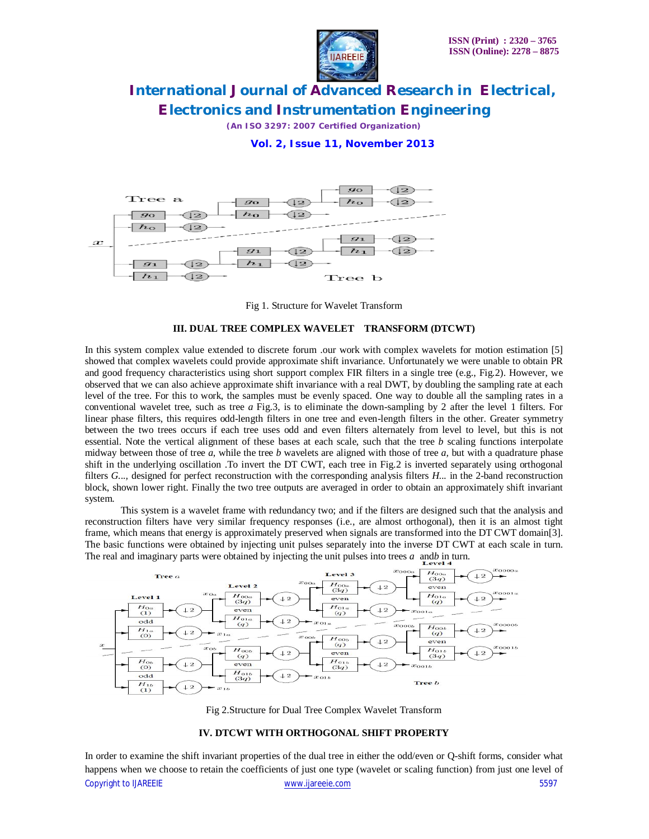

*(An ISO 3297: 2007 Certified Organization)*

### **Vol. 2, Issue 11, November 2013**





#### **III. DUAL TREE COMPLEX WAVELET TRANSFORM (DTCWT)**

In this system complex value extended to discrete forum .our work with complex wavelets for motion estimation [5] showed that complex wavelets could provide approximate shift invariance. Unfortunately we were unable to obtain PR and good frequency characteristics using short support complex FIR filters in a single tree (e.g., Fig.2). However, we observed that we can also achieve approximate shift invariance with a real DWT, by doubling the sampling rate at each level of the tree. For this to work, the samples must be evenly spaced. One way to double all the sampling rates in a conventional wavelet tree, such as tree *a* Fig.3, is to eliminate the down-sampling by 2 after the level 1 filters. For linear phase filters, this requires odd-length filters in one tree and even-length filters in the other. Greater symmetry between the two trees occurs if each tree uses odd and even filters alternately from level to level, but this is not essential. Note the vertical alignment of these bases at each scale, such that the tree *b* scaling functions interpolate midway between those of tree *a*, while the tree *b* wavelets are aligned with those of tree *a,* but with a quadrature phase shift in the underlying oscillation .To invert the DT CWT, each tree in Fig.2 is inverted separately using orthogonal filters *G...,* designed for perfect reconstruction with the corresponding analysis filters *H...* in the 2-band reconstruction block, shown lower right. Finally the two tree outputs are averaged in order to obtain an approximately shift invariant system.

This system is a wavelet frame with redundancy two; and if the filters are designed such that the analysis and reconstruction filters have very similar frequency responses (i.e., are almost orthogonal), then it is an almost tight frame, which means that energy is approximately preserved when signals are transformed into the DT CWT domain[3]. The basic functions were obtained by injecting unit pulses separately into the inverse DT CWT at each scale in turn. The real and imaginary parts were obtained by injecting the unit pulses into trees  $a$  and  $b$  in turn.



Fig 2.Structure for Dual Tree Complex Wavelet Transform

#### **IV. DTCWT WITH ORTHOGONAL SHIFT PROPERTY**

Copyright to IJAREEIE www.ijareeie.com 5597 In order to examine the shift invariant properties of the dual tree in either the odd/even or Q-shift forms, consider what happens when we choose to retain the coefficients of just one type (wavelet or scaling function) from just one level of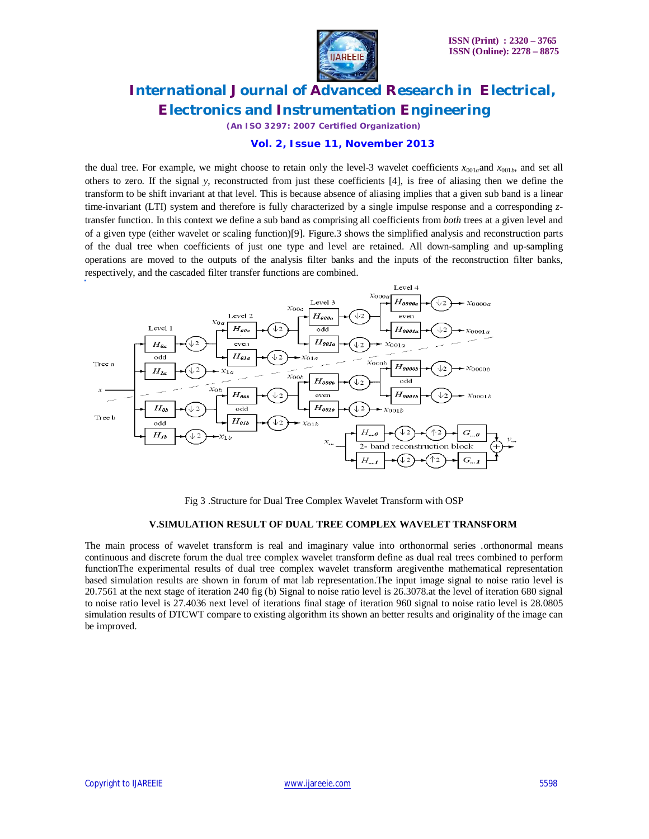

*(An ISO 3297: 2007 Certified Organization)*

### **Vol. 2, Issue 11, November 2013**

the dual tree. For example, we might choose to retain only the level-3 wavelet coefficients  $x_{001a}$ and  $x_{001b}$ , and set all others to zero. If the signal *y*, reconstructed from just these coefficients [4], is free of aliasing then we define the transform to be shift invariant at that level. This is because absence of aliasing implies that a given sub band is a linear time-invariant (LTI) system and therefore is fully characterized by a single impulse response and a corresponding *z*transfer function. In this context we define a sub band as comprising all coefficients from *both* trees at a given level and of a given type (either wavelet or scaling function)[9]. Figure.3 shows the simplified analysis and reconstruction parts of the dual tree when coefficients of just one type and level are retained. All down-sampling and up-sampling operations are moved to the outputs of the analysis filter banks and the inputs of the reconstruction filter banks, respectively, and the cascaded filter transfer functions are combined.



Fig 3 .Structure for Dual Tree Complex Wavelet Transform with OSP

#### **V.SIMULATION RESULT OF DUAL TREE COMPLEX WAVELET TRANSFORM**

The main process of wavelet transform is real and imaginary value into orthonormal series .orthonormal means continuous and discrete forum the dual tree complex wavelet transform define as dual real trees combined to perform functionThe experimental results of dual tree complex wavelet transform aregiventhe mathematical representation based simulation results are shown in forum of mat lab representation.The input image signal to noise ratio level is 20.7561 at the next stage of iteration 240 fig (b) Signal to noise ratio level is 26.3078.at the level of iteration 680 signal to noise ratio level is 27.4036 next level of iterations final stage of iteration 960 signal to noise ratio level is 28.0805 simulation results of DTCWT compare to existing algorithm its shown an better results and originality of the image can be improved.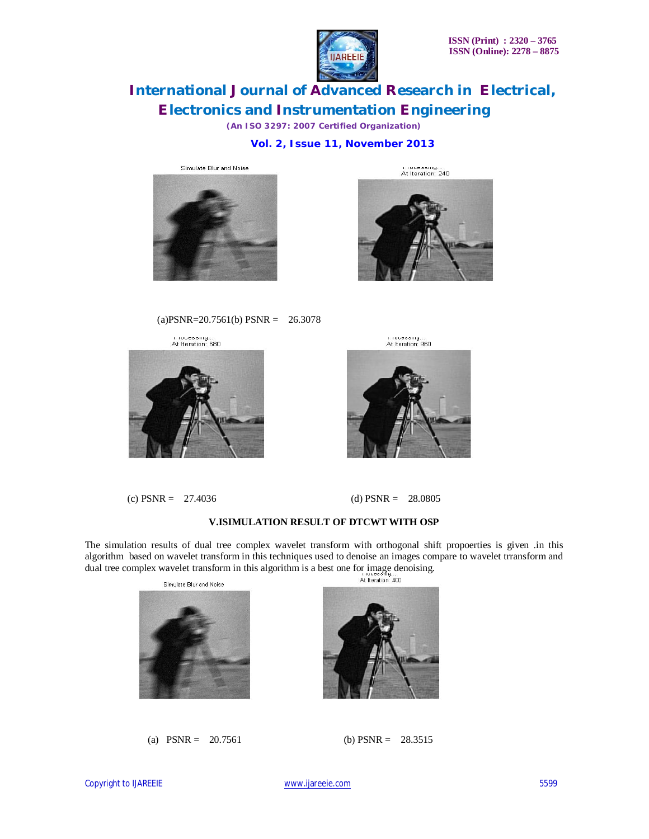

*(An ISO 3297: 2007 Certified Organization)*

 **Vol. 2, Issue 11, November 2013**



 $(a)$ PSNR=20.7561(b) PSNR = 26.3078



(c)  $PSNR = 27.4036$  (d)  $PSNR = 28.0805$ 

r rocessing...<br>At Iteration: 240





### **V.ISIMULATION RESULT OF DTCWT WITH OSP**

The simulation results of dual tree complex wavelet transform with orthogonal shift propoerties is given .in this algorithm based on wavelet transform in this techniques used to denoise an images compare to wavelet trransform and dual tree complex wavelet transform in this algorithm is a best one for image denoising.<br>At least one for image denoising.





(a)  $PSNR = 20.7561$  (b)  $PSNR = 28.3515$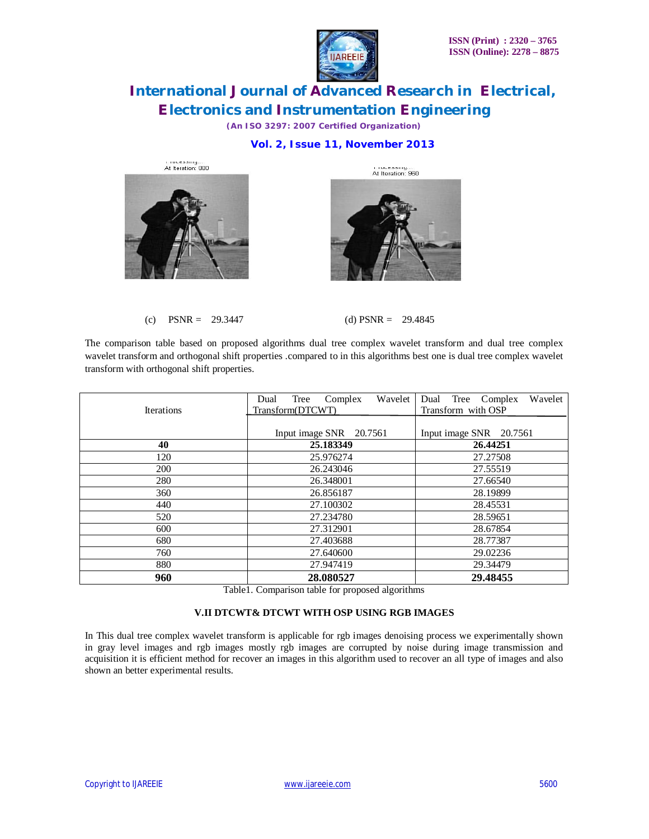

*(An ISO 3297: 2007 Certified Organization)*

### **Vol. 2, Issue 11, November 2013**





(c)  $PSNR = 29.3447$  (d)  $PSNR = 29.4845$ 

The comparison table based on proposed algorithms dual tree complex wavelet transform and dual tree complex wavelet transform and orthogonal shift properties .compared to in this algorithms best one is dual tree complex wavelet transform with orthogonal shift properties.

| <b>Iterations</b> | Wavelet<br>Tree<br>Complex<br>Dual<br>Transform(DTCWT) | Wavelet<br>Dual Tree Complex<br>Transform with OSP |
|-------------------|--------------------------------------------------------|----------------------------------------------------|
|                   |                                                        |                                                    |
|                   | Input image SNR 20.7561                                | Input image SNR 20.7561                            |
| 40                | 25.183349                                              | 26.44251                                           |
| 120               | 25.976274                                              | 27.27508                                           |
| 200               | 26.243046                                              | 27.55519                                           |
| 280               | 26.348001                                              | 27.66540                                           |
| 360               | 26.856187                                              | 28.19899                                           |
| 440               | 27.100302                                              | 28.45531                                           |
| 520               | 27.234780                                              | 28.59651                                           |
| 600               | 27.312901                                              | 28.67854                                           |
| 680               | 27.403688                                              | 28.77387                                           |
| 760               | 27.640600                                              | 29.02236                                           |
| 880               | 27.947419                                              | 29.34479                                           |
| 960               | 28.080527                                              | 29.48455                                           |

Table1. Comparison table for proposed algorithms

### **V.II DTCWT& DTCWT WITH OSP USING RGB IMAGES**

In This dual tree complex wavelet transform is applicable for rgb images denoising process we experimentally shown in gray level images and rgb images mostly rgb images are corrupted by noise during image transmission and acquisition it is efficient method for recover an images in this algorithm used to recover an all type of images and also shown an better experimental results.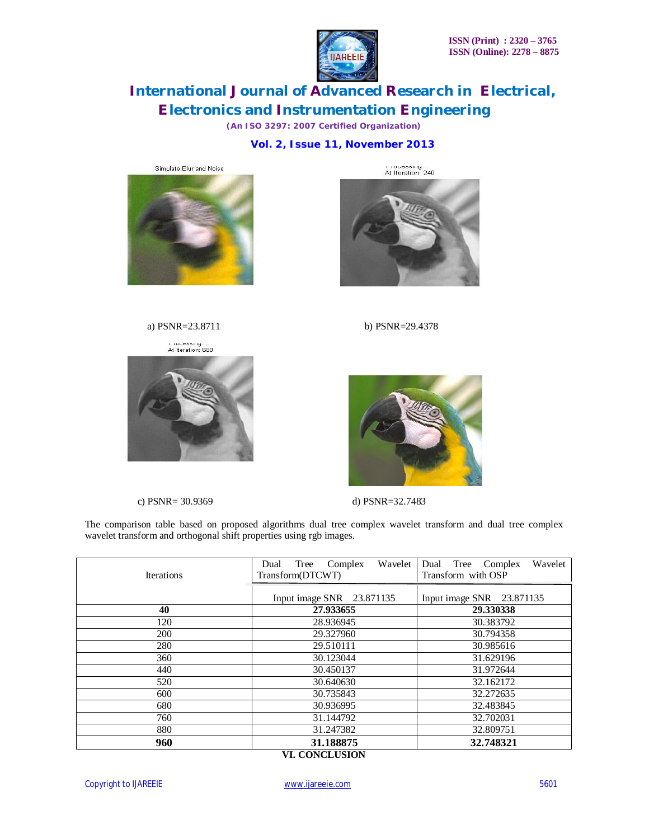

*(An ISO 3297: 2007 Certified Organization)*

 **Vol. 2, Issue 11, November 2013**





r rocessing...<br>At Iteration: 240

a) PSNR=23.8711 b) PSNR=29.4378

r rocessing...<br>At Iteration: 680



c) PSNR= 30.9369 d) PSNR=32.7483



The comparison table based on proposed algorithms dual tree complex wavelet transform and dual tree complex wavelet transform and orthogonal shift properties using rgb images.

| <b>Iterations</b> | Wavelet<br>Tree<br>Complex<br>Dual<br>Transform(DTCWT) | Wavelet<br>Tree<br>Dual<br>Complex<br>Transform with OSP |
|-------------------|--------------------------------------------------------|----------------------------------------------------------|
|                   | Input image SNR 23.871135                              | Input image SNR 23.871135                                |
| 40                | 27.933655                                              | 29.330338                                                |
| 120               | 28.936945                                              | 30.383792                                                |
| 200               | 29.327960                                              | 30.794358                                                |
| 280               | 29.510111                                              | 30.985616                                                |
| 360               | 30.123044                                              | 31.629196                                                |
| 440               | 30.450137                                              | 31.972644                                                |
| 520               | 30.640630                                              | 32.162172                                                |
| 600               | 30.735843                                              | 32.272635                                                |
| 680               | 30.936995                                              | 32.483845                                                |
| 760               | 31.144792                                              | 32.702031                                                |
| 880               | 31.247382                                              | 32.809751                                                |
| 960               | 31.188875<br>VI COMCI HEIOM                            | 32.748321                                                |

**VI. CONCLUSION**